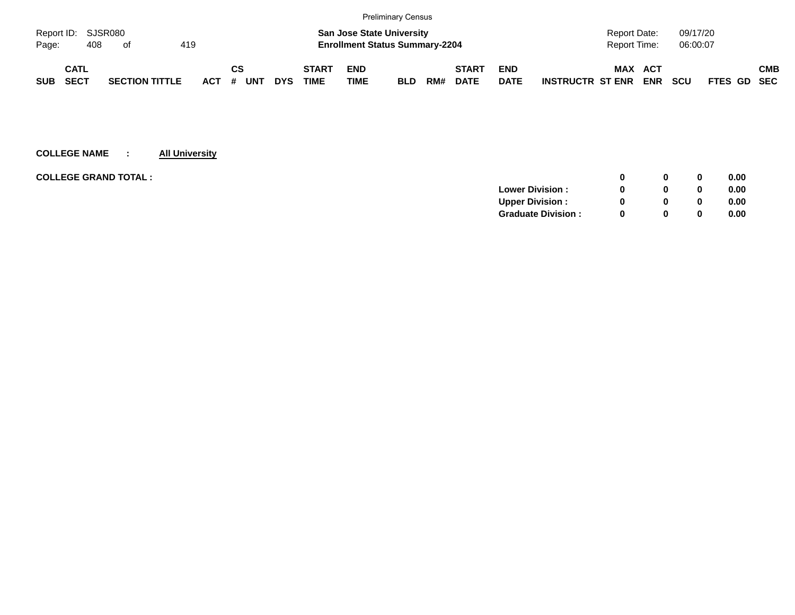|            |                    |                       |     |            |          |            |              |                                       | <b>Preliminary Census</b> |     |              |             |                         |              |            |            |             |            |
|------------|--------------------|-----------------------|-----|------------|----------|------------|--------------|---------------------------------------|---------------------------|-----|--------------|-------------|-------------------------|--------------|------------|------------|-------------|------------|
|            | Report ID: SJSR080 |                       |     |            |          |            |              | <b>San Jose State University</b>      |                           |     |              |             |                         | Report Date: |            | 09/17/20   |             |            |
| Page:      | 408                | of                    | 419 |            |          |            |              | <b>Enrollment Status Summary-2204</b> |                           |     |              |             |                         | Report Time: |            | 06:00:07   |             |            |
|            | CATL               |                       |     |            | СS       |            | <b>START</b> | <b>END</b>                            |                           |     | <b>START</b> | <b>END</b>  |                         | MAX          | ACT        |            |             | <b>CMB</b> |
| <b>SUB</b> | <b>SECT</b>        | <b>SECTION TITTLE</b> |     | <b>ACT</b> | UNT<br># | <b>DYS</b> | <b>TIME</b>  | <b>TIME</b>                           | <b>BLD</b>                | RM# | <b>DATE</b>  | <b>DATE</b> | <b>INSTRUCTR ST ENR</b> |              | <b>ENR</b> | <b>SCU</b> | FTES GD SEC |            |

| <b>COLLEGE GRAND TOTAL :</b><br>0              | 0.00 |
|------------------------------------------------|------|
| <b>Lower Division:</b><br>0                    | 0.00 |
| <b>Upper Division:</b><br><sup>0</sup><br>0    | 0.00 |
| <b>Graduate Division:</b><br><sup>0</sup><br>0 | 0.00 |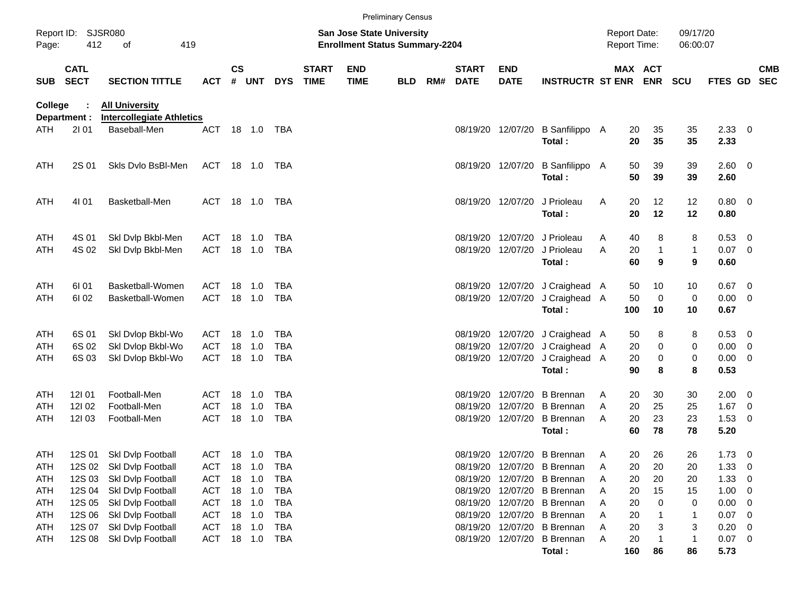|                |                            |                                                           |            |               |         |            |                             |                           | <b>Preliminary Census</b>                                                 |     |                             |                           |                             |              |                                     |                   |                      |              |   |                          |
|----------------|----------------------------|-----------------------------------------------------------|------------|---------------|---------|------------|-----------------------------|---------------------------|---------------------------------------------------------------------------|-----|-----------------------------|---------------------------|-----------------------------|--------------|-------------------------------------|-------------------|----------------------|--------------|---|--------------------------|
| Page:          | Report ID: SJSR080<br>412  | 419<br>of                                                 |            |               |         |            |                             |                           | <b>San Jose State University</b><br><b>Enrollment Status Summary-2204</b> |     |                             |                           |                             |              | <b>Report Date:</b><br>Report Time: |                   | 09/17/20<br>06:00:07 |              |   |                          |
| <b>SUB</b>     | <b>CATL</b><br><b>SECT</b> | <b>SECTION TITTLE</b>                                     | <b>ACT</b> | $\mathsf{cs}$ | # UNT   | <b>DYS</b> | <b>START</b><br><b>TIME</b> | <b>END</b><br><b>TIME</b> | <b>BLD</b>                                                                | RM# | <b>START</b><br><b>DATE</b> | <b>END</b><br><b>DATE</b> | <b>INSTRUCTR ST ENR</b>     |              | MAX ACT                             | <b>ENR</b>        | <b>SCU</b>           | FTES GD      |   | <b>CMB</b><br><b>SEC</b> |
| <b>College</b> | Department :               | <b>All University</b><br><b>Intercollegiate Athletics</b> |            |               |         |            |                             |                           |                                                                           |     |                             |                           |                             |              |                                     |                   |                      |              |   |                          |
| ATH            | 2101                       | Baseball-Men                                              | <b>ACT</b> |               | 18  1.0 | TBA        |                             |                           |                                                                           |     | 08/19/20                    | 12/07/20                  | B Sanfilippo A<br>Total:    |              | 20<br>20                            | 35<br>35          | 35<br>35             | 2.33<br>2.33 | 0 |                          |
| ATH            | 2S 01                      | Skis Dvio BsBI-Men                                        | ACT        |               | 18  1.0 | TBA        |                             |                           |                                                                           |     |                             | 08/19/20 12/07/20         | B Sanfilippo A<br>Total:    |              | 50<br>50                            | 39<br>39          | 39<br>39             | 2.60<br>2.60 | 0 |                          |
| ATH            | 4101                       | Basketball-Men                                            | ACT        |               | 18 1.0  | TBA        |                             |                           |                                                                           |     |                             | 08/19/20 12/07/20         | J Prioleau<br>Total:        | A            | 20<br>20                            | 12<br>12          | 12<br>12             | 0.80<br>0.80 | 0 |                          |
| ATH            | 4S 01                      | Skl Dvlp Bkbl-Men                                         | ACT        | 18            | 1.0     | <b>TBA</b> |                             |                           |                                                                           |     | 08/19/20                    | 12/07/20                  | J Prioleau                  | A            | 40                                  | 8                 | 8                    | 0.53         | 0 |                          |
| ATH            | 4S 02                      | Skl Dvlp Bkbl-Men                                         | <b>ACT</b> | 18            | 1.0     | <b>TBA</b> |                             |                           |                                                                           |     | 08/19/20                    | 12/07/20                  | J Prioleau<br>Total:        | A            | 20<br>60                            | $\mathbf{1}$<br>9 | $\mathbf{1}$<br>9    | 0.07<br>0.60 | 0 |                          |
| ATH            | 61 01                      | Basketball-Women                                          | ACT        | 18            | $-1.0$  | <b>TBA</b> |                             |                           |                                                                           |     | 08/19/20                    | 12/07/20                  | J Craighead A               |              | 50                                  | 10                | 10                   | 0.67         | 0 |                          |
| ATH            | 61 02                      | Basketball-Women                                          | <b>ACT</b> | 18            | 1.0     | <b>TBA</b> |                             |                           |                                                                           |     | 08/19/20                    | 12/07/20                  | J Craighead A<br>Total:     |              | 50<br>100                           | $\mathbf 0$<br>10 | 0<br>10              | 0.00<br>0.67 | 0 |                          |
| ATH            | 6S 01                      | Skl Dvlop Bkbl-Wo                                         | ACT        | 18            | 1.0     | <b>TBA</b> |                             |                           |                                                                           |     | 08/19/20                    | 12/07/20                  | J Craighead A               |              | 50                                  | 8                 | 8                    | 0.53         | 0 |                          |
| ATH            | 6S 02                      | Skl Dvlop Bkbl-Wo                                         | <b>ACT</b> | 18            | 1.0     | <b>TBA</b> |                             |                           |                                                                           |     | 08/19/20                    | 12/07/20                  | J Craighead A               |              | 20                                  | $\pmb{0}$         | 0                    | 0.00         | 0 |                          |
| ATH            | 6S 03                      | Skl Dvlop Bkbl-Wo                                         | <b>ACT</b> | 18            | 1.0     | TBA        |                             |                           |                                                                           |     | 08/19/20                    | 12/07/20                  | J Craighead A               |              | 20                                  | $\pmb{0}$         | 0                    | 0.00         | 0 |                          |
|                |                            |                                                           |            |               |         |            |                             |                           |                                                                           |     |                             |                           | Total:                      |              | 90                                  | 8                 | 8                    | 0.53         |   |                          |
| ATH            | 121 01                     | Football-Men                                              | ACT        | 18            | 1.0     | <b>TBA</b> |                             |                           |                                                                           |     | 08/19/20                    | 12/07/20                  | <b>B</b> Brennan            | A            | 20                                  | 30                | 30                   | 2.00         | 0 |                          |
| ATH            | 12102                      | Football-Men                                              | ACT        | 18            | 1.0     | <b>TBA</b> |                             |                           |                                                                           |     | 08/19/20                    | 12/07/20                  | <b>B</b> Brennan            | A            | 20                                  | 25                | 25                   | 1.67         | 0 |                          |
| ATH            | 12103                      | Football-Men                                              | <b>ACT</b> | 18            | 1.0     | <b>TBA</b> |                             |                           |                                                                           |     | 08/19/20                    | 12/07/20                  | <b>B</b> Brennan            | A            | 20                                  | 23                | 23                   | 1.53         | 0 |                          |
|                |                            |                                                           |            |               |         |            |                             |                           |                                                                           |     |                             |                           | Total:                      |              | 60                                  | 78                | 78                   | 5.20         |   |                          |
| ATH            | 12S 01                     | Skl Dvlp Football                                         | ACT        |               | 18  1.0 | TBA        |                             |                           |                                                                           |     |                             |                           | 08/19/20 12/07/20 B Brennan | A            | 20                                  | 26                | 26                   | 1.73         | 0 |                          |
| ATH            | 12S 02                     | Skl Dvlp Football                                         | ACT        | 18            | 1.0     | TBA        |                             |                           |                                                                           |     | 08/19/20                    | 12/07/20                  | <b>B</b> Brennan            | A            | 20                                  | 20                | 20                   | 1.33         | 0 |                          |
| ATH            | 12S 03                     | Skl Dvlp Football                                         | ACT        |               | 18 1.0  | <b>TBA</b> |                             |                           |                                                                           |     | 08/19/20                    | 12/07/20                  | <b>B</b> Brennan            | A            | 20                                  | 20                | 20                   | 1.33         | 0 |                          |
| ATH            | 12S 04                     | Skl Dvlp Football                                         | ACT        |               | 18 1.0  | <b>TBA</b> |                             |                           |                                                                           |     | 08/19/20                    | 12/07/20                  | <b>B</b> Brennan            | A            | 20                                  | 15                | 15                   | 1.00         | 0 |                          |
| ATH            | 12S 05                     | Skl Dvlp Football                                         | <b>ACT</b> |               | 18 1.0  | <b>TBA</b> |                             |                           |                                                                           |     | 08/19/20                    | 12/07/20                  | <b>B</b> Brennan            | A            | 20                                  | 0                 | 0                    | 0.00         | 0 |                          |
| ATH            | 12S 06                     | Skl Dvlp Football                                         | <b>ACT</b> |               | 18 1.0  | <b>TBA</b> |                             |                           |                                                                           |     | 08/19/20                    | 12/07/20                  | <b>B</b> Brennan            | A            | 20                                  | 1                 | 1                    | 0.07         | 0 |                          |
| ATH            | 12S 07                     | Skl Dvlp Football                                         | <b>ACT</b> |               | 18 1.0  | <b>TBA</b> |                             |                           |                                                                           |     | 08/19/20                    | 12/07/20                  | <b>B</b> Brennan            | Α            | 20                                  | 3                 | 3                    | 0.20         | 0 |                          |
| ATH            | 12S 08                     | Skl Dvlp Football                                         | ACT 18 1.0 |               |         | TBA        |                             |                           |                                                                           |     | 08/19/20                    | 12/07/20                  | <b>B</b> Brennan            | $\mathsf{A}$ | 20                                  | $\mathbf 1$       | $\mathbf{1}$         | 0.07         | 0 |                          |
|                |                            |                                                           |            |               |         |            |                             |                           |                                                                           |     |                             |                           | Total:                      |              | 160                                 | 86                | 86                   | 5.73         |   |                          |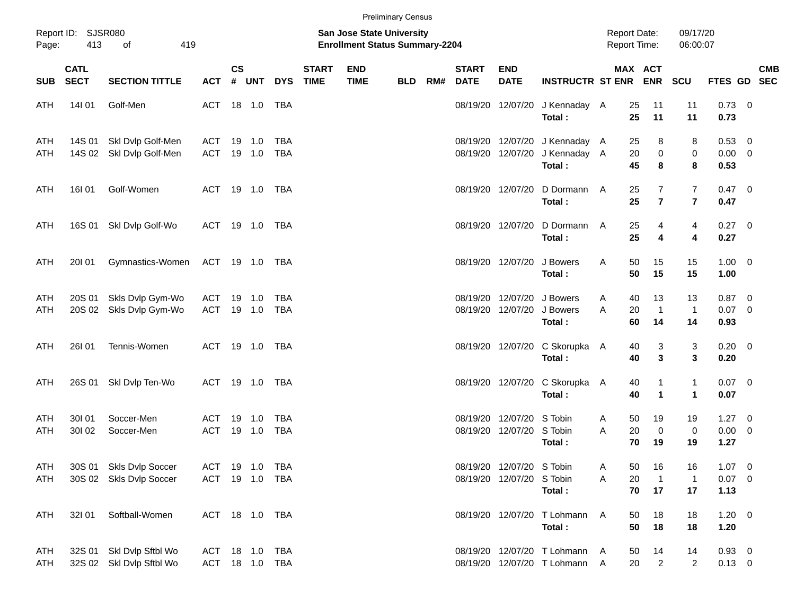|                   |                            |                                                    |                                  |               |                  |                   |                             |                                                                    | <b>Preliminary Census</b> |     |                             |                                                        |                                                                    |                                            |                                              |                              |                                    |            |
|-------------------|----------------------------|----------------------------------------------------|----------------------------------|---------------|------------------|-------------------|-----------------------------|--------------------------------------------------------------------|---------------------------|-----|-----------------------------|--------------------------------------------------------|--------------------------------------------------------------------|--------------------------------------------|----------------------------------------------|------------------------------|------------------------------------|------------|
| Page:             | Report ID: SJSR080<br>413  | 419<br>of                                          |                                  |               |                  |                   |                             | San Jose State University<br><b>Enrollment Status Summary-2204</b> |                           |     |                             |                                                        |                                                                    | <b>Report Date:</b><br><b>Report Time:</b> |                                              | 09/17/20<br>06:00:07         |                                    |            |
| <b>SUB</b>        | <b>CATL</b><br><b>SECT</b> | <b>SECTION TITTLE</b>                              | <b>ACT</b>                       | $\mathsf{cs}$ | # UNT            | <b>DYS</b>        | <b>START</b><br><b>TIME</b> | <b>END</b><br><b>TIME</b>                                          | <b>BLD</b>                | RM# | <b>START</b><br><b>DATE</b> | <b>END</b><br><b>DATE</b>                              | <b>INSTRUCTR ST ENR</b>                                            |                                            | MAX ACT<br><b>ENR</b>                        | <b>SCU</b>                   | FTES GD SEC                        | <b>CMB</b> |
| ATH               | 14101                      | Golf-Men                                           | ACT 18 1.0 TBA                   |               |                  |                   |                             |                                                                    |                           |     |                             | 08/19/20 12/07/20                                      | J Kennaday A<br>Total:                                             |                                            | 25<br>11<br>25<br>11                         | 11<br>11                     | $0.73 \quad 0$<br>0.73             |            |
| ATH<br>ATH        | 14S 01<br>14S 02           | Skl Dvlp Golf-Men<br>Skl Dvlp Golf-Men             | ACT<br>ACT                       |               | 19 1.0<br>19 1.0 | TBA<br><b>TBA</b> |                             |                                                                    |                           |     |                             | 08/19/20 12/07/20                                      | 08/19/20 12/07/20 J Kennaday A<br>J Kennaday A<br>Total:           |                                            | 25<br>8<br>20<br>$\mathbf 0$<br>45<br>8      | 8<br>$\,0\,$<br>8            | 0.53 0<br>$0.00 \t 0$<br>0.53      |            |
| ATH               | 16I 01                     | Golf-Women                                         | ACT 19 1.0 TBA                   |               |                  |                   |                             |                                                                    |                           |     |                             | 08/19/20 12/07/20                                      | D Dormann<br>Total:                                                | A                                          | 7<br>25<br>25<br>$\overline{7}$              | 7<br>$\overline{\mathbf{r}}$ | $0.47 \ 0$<br>0.47                 |            |
| ATH               | 16S 01                     | Skl Dvlp Golf-Wo                                   | ACT 19 1.0 TBA                   |               |                  |                   |                             |                                                                    |                           |     |                             | 08/19/20 12/07/20                                      | D Dormann<br>Total:                                                | A                                          | 25<br>4<br>25<br>4                           | 4<br>4                       | 0.27 0<br>0.27                     |            |
| ATH               | 20101                      | Gymnastics-Women                                   | ACT 19 1.0 TBA                   |               |                  |                   |                             |                                                                    |                           |     |                             | 08/19/20 12/07/20                                      | J Bowers<br>Total:                                                 | Α                                          | 50<br>15<br>50<br>15                         | 15<br>15                     | $1.00 \t 0$<br>1.00                |            |
| ATH<br>ATH        | 20S 01<br>20S 02           | Skls Dvlp Gym-Wo<br>Skls Dvlp Gym-Wo               | ACT<br>ACT 19 1.0                | 19            | 1.0              | TBA<br>TBA        |                             |                                                                    |                           |     |                             |                                                        | 08/19/20 12/07/20 J Bowers<br>08/19/20 12/07/20 J Bowers<br>Total: | A<br>A                                     | 40<br>13<br>20<br>$\overline{1}$<br>60<br>14 | 13<br>$\mathbf{1}$<br>14     | $0.87$ 0<br>$0.07$ 0<br>0.93       |            |
| ATH               | 26101                      | Tennis-Women                                       | ACT 19 1.0 TBA                   |               |                  |                   |                             |                                                                    |                           |     |                             |                                                        | 08/19/20 12/07/20 C Skorupka<br>Total:                             | A                                          | 3<br>40<br>3<br>40                           | 3<br>3                       | $0.20 \ 0$<br>0.20                 |            |
| ATH               | 26S 01                     | Skl Dvlp Ten-Wo                                    | ACT 19 1.0 TBA                   |               |                  |                   |                             |                                                                    |                           |     |                             |                                                        | 08/19/20 12/07/20 C Skorupka A<br>Total:                           |                                            | 40<br>1<br>40<br>$\mathbf{1}$                | $\mathbf{1}$<br>$\mathbf{1}$ | $0.07$ 0<br>0.07                   |            |
| ATH<br>ATH        | 30101<br>301 02            | Soccer-Men<br>Soccer-Men                           | ACT<br>ACT                       | 19            | 1.0<br>19 1.0    | TBA<br><b>TBA</b> |                             |                                                                    |                           |     |                             | 08/19/20 12/07/20 S Tobin<br>08/19/20 12/07/20 S Tobin | Total:                                                             | A<br>A                                     | 50<br>19<br>20<br>$\mathbf 0$<br>70<br>19    | 19<br>$\pmb{0}$<br>19        | $1.27 \t 0$<br>$0.00 \t 0$<br>1.27 |            |
| ATH<br>ATH        |                            | 30S 01 Skls Dvlp Soccer<br>30S 02 Skls Dvlp Soccer | ACT 19 1.0 TBA<br>ACT 19 1.0 TBA |               |                  |                   |                             |                                                                    |                           |     |                             | 08/19/20 12/07/20 S Tobin<br>08/19/20 12/07/20 S Tobin | Total:                                                             | A<br>Α                                     | 50<br>16<br>20<br>$\overline{1}$<br>70<br>17 | 16<br>$\mathbf 1$<br>17      | $1.07 \t 0$<br>$0.07$ 0<br>1.13    |            |
| ATH               | 32101                      | Softball-Women                                     | ACT 18 1.0 TBA                   |               |                  |                   |                             |                                                                    |                           |     |                             |                                                        | 08/19/20 12/07/20 T Lohmann<br>Total:                              | A                                          | 50<br>18<br>50<br>18                         | 18<br>18                     | $1.20 \t 0$<br>1.20                |            |
| ATH<br><b>ATH</b> | 32S 01                     | Skl Dvlp Sftbl Wo<br>32S 02 SkI Dvlp Sftbl Wo      | ACT 18 1.0 TBA                   |               |                  | ACT 18 1.0 TBA    |                             |                                                                    |                           |     |                             |                                                        | 08/19/20 12/07/20 T Lohmann A<br>08/19/20 12/07/20 T Lohmann A     |                                            | 50<br>14<br>20<br>$\overline{a}$             | 14<br>$\overline{c}$         | $0.93 \ 0$<br>$0.13 \ 0$           |            |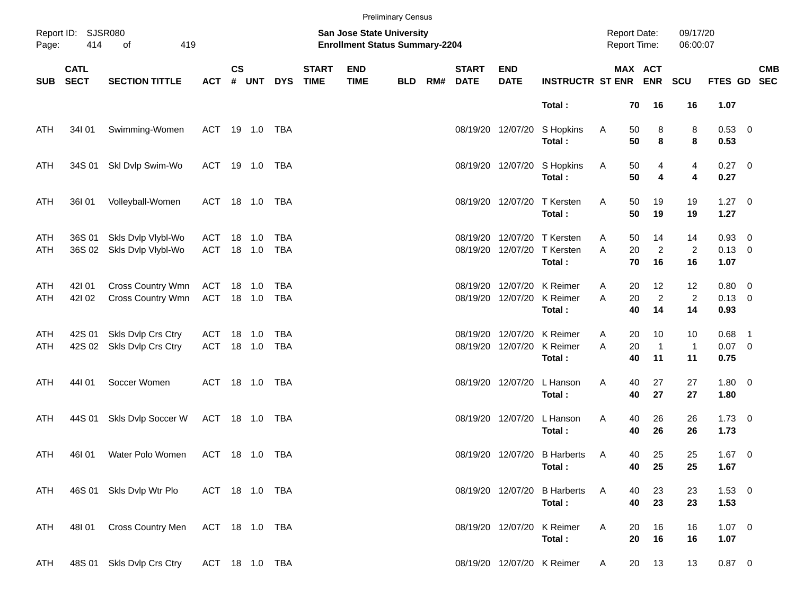|            |                            |                                          |                   |               |                  |            |                             |                                                                    | <b>Preliminary Census</b> |     |                             |                               |                                                             |                                     |                                        |                            |                                   |                |            |
|------------|----------------------------|------------------------------------------|-------------------|---------------|------------------|------------|-----------------------------|--------------------------------------------------------------------|---------------------------|-----|-----------------------------|-------------------------------|-------------------------------------------------------------|-------------------------------------|----------------------------------------|----------------------------|-----------------------------------|----------------|------------|
| Page:      | Report ID: SJSR080<br>414  | 419<br>of                                |                   |               |                  |            |                             | San Jose State University<br><b>Enrollment Status Summary-2204</b> |                           |     |                             |                               |                                                             | <b>Report Date:</b><br>Report Time: |                                        | 09/17/20<br>06:00:07       |                                   |                |            |
| <b>SUB</b> | <b>CATL</b><br><b>SECT</b> | <b>SECTION TITTLE</b>                    | <b>ACT</b>        | $\mathsf{cs}$ | # UNT            | <b>DYS</b> | <b>START</b><br><b>TIME</b> | <b>END</b><br><b>TIME</b>                                          | <b>BLD</b>                | RM# | <b>START</b><br><b>DATE</b> | <b>END</b><br><b>DATE</b>     | <b>INSTRUCTR ST ENR</b>                                     |                                     | MAX ACT<br><b>ENR</b>                  | <b>SCU</b>                 | FTES GD SEC                       |                | <b>CMB</b> |
|            |                            |                                          |                   |               |                  |            |                             |                                                                    |                           |     |                             |                               | Total:                                                      |                                     | 70<br>16                               | 16                         | 1.07                              |                |            |
| ATH        | 34I 01                     | Swimming-Women                           |                   |               | ACT 19 1.0 TBA   |            |                             |                                                                    |                           |     |                             | 08/19/20 12/07/20             | S Hopkins<br>Total:                                         | A<br>50                             | 8<br>50<br>8                           | 8<br>8                     | 0.53 0<br>0.53                    |                |            |
| ATH        | 34S 01                     | Skl Dvlp Swim-Wo                         |                   |               | ACT 19 1.0 TBA   |            |                             |                                                                    |                           |     |                             | 08/19/20 12/07/20             | S Hopkins<br>Total:                                         | A<br>50                             | 4<br>50<br>4                           | 4<br>4                     | $0.27$ 0<br>0.27                  |                |            |
| ATH        | 36I 01                     | Volleyball-Women                         |                   |               | ACT 18 1.0 TBA   |            |                             |                                                                    |                           |     |                             | 08/19/20 12/07/20             | T Kersten<br>Total:                                         | Α<br>50                             | 19<br>50<br>19                         | 19<br>19                   | $1.27 \t 0$<br>1.27               |                |            |
| ATH<br>ATH | 36S 01<br>36S 02           | Skls Dvlp Vlybl-Wo<br>Skls Dvlp Vlybl-Wo | ACT<br>ACT        |               | 18 1.0<br>18 1.0 | TBA<br>TBA |                             |                                                                    |                           |     | 08/19/20                    |                               | 12/07/20 T Kersten<br>08/19/20 12/07/20 T Kersten<br>Total: | 50<br>A<br>A                        | 14<br>$\overline{2}$<br>20<br>16<br>70 | 14<br>2<br>16              | 0.93 0<br>$0.13 \ 0$<br>1.07      |                |            |
| ATH<br>ATH | 42101<br>421 02            | Cross Country Wmn<br>Cross Country Wmn   | ACT<br>ACT 18 1.0 |               | 18 1.0           | TBA<br>TBA |                             |                                                                    |                           |     | 08/19/20                    | 12/07/20<br>08/19/20 12/07/20 | K Reimer<br>K Reimer<br>Total:                              | 20<br>A<br>A                        | 12<br>$\overline{2}$<br>20<br>40<br>14 | 12<br>$\overline{2}$<br>14 | $0.80 \t 0$<br>$0.13 \ 0$<br>0.93 |                |            |
| ATH<br>ATH | 42S 01<br>42S 02           | Skls Dvlp Crs Ctry<br>Skls Dvlp Crs Ctry | ACT<br><b>ACT</b> | 18            | 1.0<br>18 1.0    | TBA<br>TBA |                             |                                                                    |                           |     | 08/19/20                    | 12/07/20<br>08/19/20 12/07/20 | K Reimer<br>K Reimer<br>Total:                              | 20<br>A<br>A                        | 10<br>20<br>$\overline{1}$<br>40<br>11 | 10<br>$\mathbf{1}$<br>11   | 0.68<br>$0.07$ 0<br>0.75          | $\overline{1}$ |            |
| ATH        | 44101                      | Soccer Women                             |                   |               | ACT 18 1.0 TBA   |            |                             |                                                                    |                           |     |                             | 08/19/20 12/07/20             | L Hanson<br>Total:                                          | Α                                   | 27<br>40<br>40<br>27                   | 27<br>27                   | $1.80 \t 0$<br>1.80               |                |            |
| <b>ATH</b> | 44S 01                     | Skls Dvlp Soccer W                       |                   |               | ACT 18 1.0 TBA   |            |                             |                                                                    |                           |     |                             | 08/19/20 12/07/20             | L Hanson<br>Total:                                          | Α                                   | 40<br>26<br>40<br>26                   | 26<br>26                   | $1.73 \t 0$<br>1.73               |                |            |
| <b>ATH</b> | 46I 01                     | Water Polo Women                         |                   |               | ACT 18 1.0 TBA   |            |                             |                                                                    |                           |     |                             |                               | 08/19/20 12/07/20 B Harberts<br>Total:                      | A                                   | 25<br>40<br>40<br>25                   | 25<br>25                   | $1.67$ 0<br>1.67                  |                |            |
| ATH        |                            | 46S 01 Skls Dvlp Wtr Plo                 |                   |               | ACT 18 1.0 TBA   |            |                             |                                                                    |                           |     |                             | 08/19/20 12/07/20             | <b>B</b> Harberts<br>Total:                                 | A<br>40<br>40                       | 23<br>23                               | 23<br>23                   | $1.53 \t 0$<br>1.53               |                |            |
| ATH        | 48I 01                     | <b>Cross Country Men</b>                 |                   |               | ACT 18 1.0 TBA   |            |                             |                                                                    |                           |     |                             | 08/19/20 12/07/20             | K Reimer<br>Total:                                          | A<br>20<br>20                       | 16<br>16                               | 16<br>16                   | $1.07 \t 0$<br>1.07               |                |            |
| ATH        |                            | 48S 01 Skls Dvlp Crs Ctry                |                   |               | ACT 18 1.0 TBA   |            |                             |                                                                    |                           |     |                             |                               | 08/19/20 12/07/20 K Reimer                                  | A                                   | 13<br>20                               | 13                         | $0.87$ 0                          |                |            |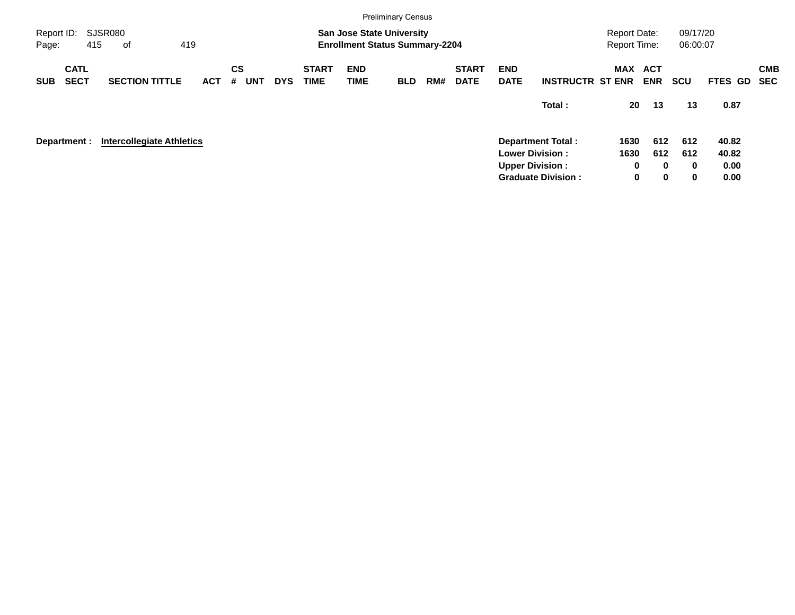|                     |                            |                                  |     |            |                |            |            |                             |                           | <b>Preliminary Census</b>                                                 |     |                             |                           |                           |                                            |                          |                      |             |            |
|---------------------|----------------------------|----------------------------------|-----|------------|----------------|------------|------------|-----------------------------|---------------------------|---------------------------------------------------------------------------|-----|-----------------------------|---------------------------|---------------------------|--------------------------------------------|--------------------------|----------------------|-------------|------------|
| Report ID:<br>Page: |                            | SJSR080<br>415<br>of             | 419 |            |                |            |            |                             |                           | <b>San Jose State University</b><br><b>Enrollment Status Summary-2204</b> |     |                             |                           |                           | <b>Report Date:</b><br><b>Report Time:</b> |                          | 09/17/20<br>06:00:07 |             |            |
| <b>SUB</b>          | <b>CATL</b><br><b>SECT</b> | <b>SECTION TITTLE</b>            |     | <b>ACT</b> | <b>CS</b><br># | <b>UNT</b> | <b>DYS</b> | <b>START</b><br><b>TIME</b> | <b>END</b><br><b>TIME</b> | <b>BLD</b>                                                                | RM# | <b>START</b><br><b>DATE</b> | <b>END</b><br><b>DATE</b> | <b>INSTRUCTR ST ENR</b>   | MAX                                        | <b>ACT</b><br><b>ENR</b> | <b>SCU</b>           | FTES GD SEC | <b>CMB</b> |
|                     |                            |                                  |     |            |                |            |            |                             |                           |                                                                           |     |                             |                           | Total:                    | 20                                         | 13                       | 13                   | 0.87        |            |
|                     | Department :               | <b>Intercollegiate Athletics</b> |     |            |                |            |            |                             |                           |                                                                           |     |                             |                           | <b>Department Total:</b>  | 1630                                       | 612                      | 612                  | 40.82       |            |
|                     |                            |                                  |     |            |                |            |            |                             |                           |                                                                           |     |                             |                           | <b>Lower Division:</b>    | 1630                                       | 612                      | 612                  | 40.82       |            |
|                     |                            |                                  |     |            |                |            |            |                             |                           |                                                                           |     |                             |                           | <b>Upper Division:</b>    | 0                                          | $\bf{0}$                 | $\bf{0}$             | 0.00        |            |
|                     |                            |                                  |     |            |                |            |            |                             |                           |                                                                           |     |                             |                           | <b>Graduate Division:</b> | $\mathbf 0$                                | $\mathbf 0$              | 0                    | 0.00        |            |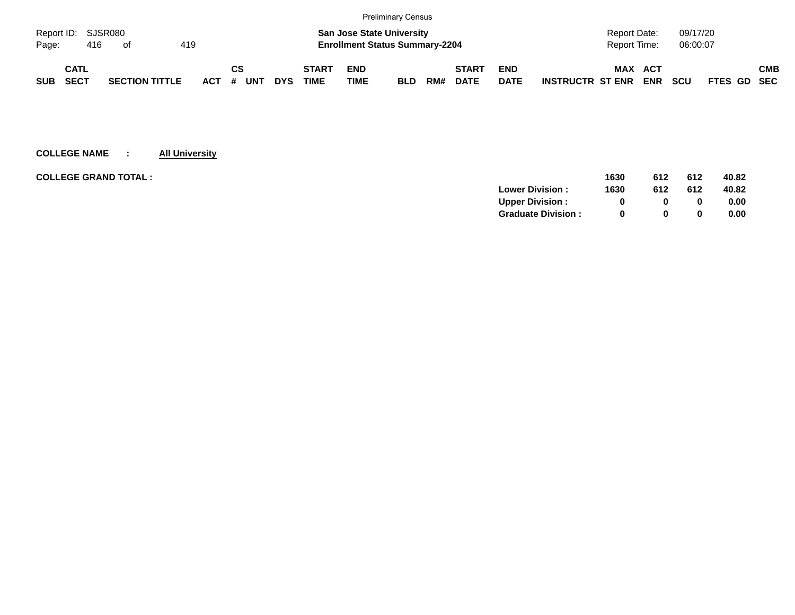|                    |      |     |                       |     |            |           |     |            |              |             | <b>Preliminary Census</b>             |     |              |             |                         |                     |            |            |                    |            |
|--------------------|------|-----|-----------------------|-----|------------|-----------|-----|------------|--------------|-------------|---------------------------------------|-----|--------------|-------------|-------------------------|---------------------|------------|------------|--------------------|------------|
| Report ID: SJSR080 |      |     |                       |     |            |           |     |            |              |             | <b>San Jose State University</b>      |     |              |             |                         | <b>Report Date:</b> |            | 09/17/20   |                    |            |
| Page:              |      | 416 | ot                    | 419 |            |           |     |            |              |             | <b>Enrollment Status Summary-2204</b> |     |              |             |                         | Report Time:        |            | 06:00:07   |                    |            |
|                    | CATL |     |                       |     |            | <b>CS</b> |     |            | <b>START</b> | <b>END</b>  |                                       |     | <b>START</b> | <b>END</b>  |                         | <b>MAX ACT</b>      |            |            |                    | <b>CMB</b> |
| <b>SUB</b>         | SECT |     | <b>SECTION TITTLE</b> |     | <b>ACT</b> | #         | UNT | <b>DYS</b> | TIME         | <b>TIME</b> | <b>BLD</b>                            | RM# | <b>DATE</b>  | <b>DATE</b> | <b>INSTRUCTR ST ENR</b> |                     | <b>ENR</b> | <b>SCU</b> | <b>FTES GD SEC</b> |            |

| 1630 | 612          | 612 | 40.82 |
|------|--------------|-----|-------|
| 1630 | 612          | 612 | 40.82 |
|      | <sup>0</sup> | 0   | 0.00  |
|      | $\Omega$     | 0   | 0.00  |
|      |              |     |       |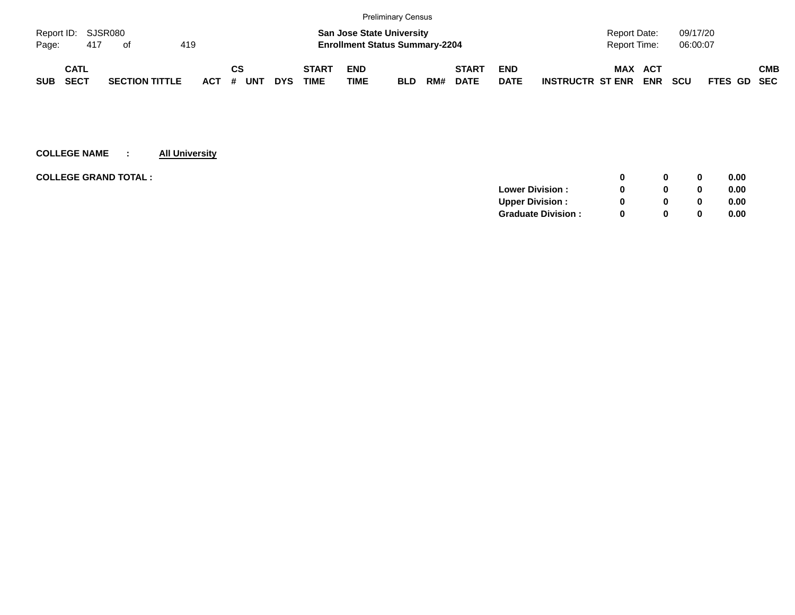|            |                    |                       |     |            |          |            |              |                                       | <b>Preliminary Census</b> |     |              |             |                         |              |            |            |             |            |
|------------|--------------------|-----------------------|-----|------------|----------|------------|--------------|---------------------------------------|---------------------------|-----|--------------|-------------|-------------------------|--------------|------------|------------|-------------|------------|
|            | Report ID: SJSR080 |                       |     |            |          |            |              | <b>San Jose State University</b>      |                           |     |              |             |                         | Report Date: |            | 09/17/20   |             |            |
| Page:      | 417                | of                    | 419 |            |          |            |              | <b>Enrollment Status Summary-2204</b> |                           |     |              |             |                         | Report Time: |            | 06:00:07   |             |            |
|            | CATL               |                       |     |            | СS       |            | <b>START</b> | <b>END</b>                            |                           |     | <b>START</b> | <b>END</b>  |                         | MAX          | ACT        |            |             | <b>CMB</b> |
| <b>SUB</b> | <b>SECT</b>        | <b>SECTION TITTLE</b> |     | <b>ACT</b> | UNT<br># | <b>DYS</b> | <b>TIME</b>  | <b>TIME</b>                           | <b>BLD</b>                | RM# | <b>DATE</b>  | <b>DATE</b> | <b>INSTRUCTR ST ENR</b> |              | <b>ENR</b> | <b>SCU</b> | FTES GD SEC |            |

| <b>COLLEGE GRAND TOTAL :</b><br>0              | 0.00 |
|------------------------------------------------|------|
| <b>Lower Division:</b><br>0                    | 0.00 |
| <b>Upper Division:</b><br><sup>0</sup><br>0    | 0.00 |
| <b>Graduate Division:</b><br><sup>0</sup><br>0 | 0.00 |